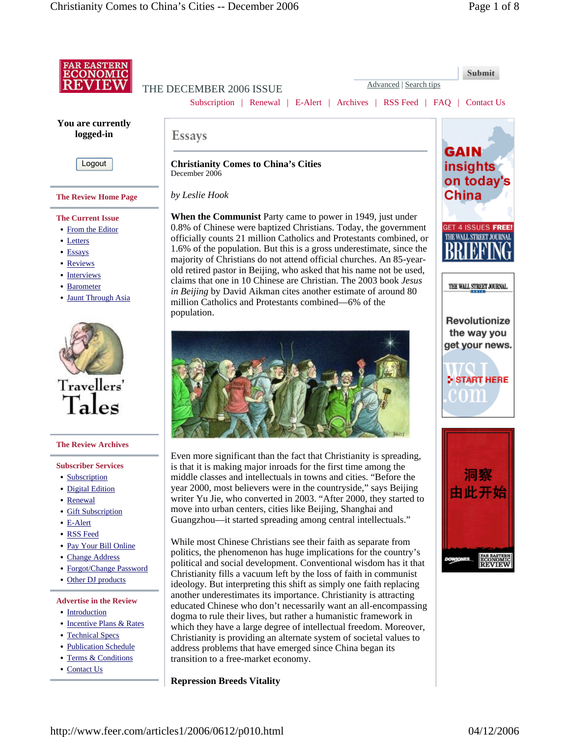

which they have a large degree of intellectual freedom. Moreover, Christianity is providing an alternate system of societal values to address problems that have emerged since China began its

- Incentive Plans & Rates
- Technical Specs
- Publication Schedule
- Terms & Conditions
- Contact Us

**Repression Breeds Vitality**

transition to a free-market economy.

http://www.feer.com/articles1/2006/0612/p010.html 04/12/2006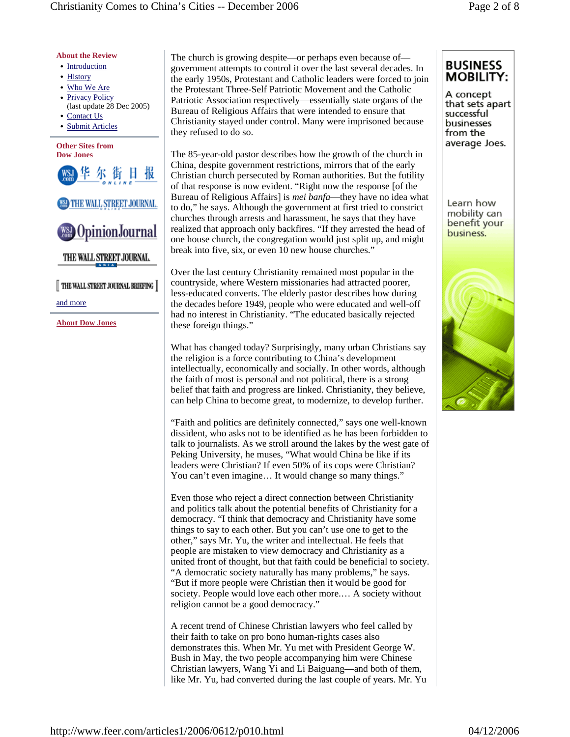## **About the Review**

- Introduction
- History
- Who We Are
- Privacy Policy
- (last update 28 Dec 2005) • Contact Us
- Submit Articles

#### **Other Sites from Dow Jones**





THE WALL STREET JOURNAL

THE WALL STREET JOURNAL BRIEFING

and more

**About Dow Jones**

The church is growing despite—or perhaps even because of government attempts to control it over the last several decades. In the early 1950s, Protestant and Catholic leaders were forced to join the Protestant Three-Self Patriotic Movement and the Catholic Patriotic Association respectively—essentially state organs of the Bureau of Religious Affairs that were intended to ensure that Christianity stayed under control. Many were imprisoned because they refused to do so.

The 85-year-old pastor describes how the growth of the church in China, despite government restrictions, mirrors that of the early Christian church persecuted by Roman authorities. But the futility of that response is now evident. "Right now the response [of the Bureau of Religious Affairs] is *mei banfa*—they have no idea what to do," he says. Although the government at first tried to constrict churches through arrests and harassment, he says that they have realized that approach only backfires. "If they arrested the head of one house church, the congregation would just split up, and might break into five, six, or even 10 new house churches."

Over the last century Christianity remained most popular in the countryside, where Western missionaries had attracted poorer, less-educated converts. The elderly pastor describes how during the decades before 1949, people who were educated and well-off had no interest in Christianity. "The educated basically rejected these foreign things."

What has changed today? Surprisingly, many urban Christians say the religion is a force contributing to China's development intellectually, economically and socially. In other words, although the faith of most is personal and not political, there is a strong belief that faith and progress are linked. Christianity, they believe, can help China to become great, to modernize, to develop further.

"Faith and politics are definitely connected," says one well-known dissident, who asks not to be identified as he has been forbidden to talk to journalists. As we stroll around the lakes by the west gate of Peking University, he muses, "What would China be like if its leaders were Christian? If even 50% of its cops were Christian? You can't even imagine… It would change so many things."

Even those who reject a direct connection between Christianity and politics talk about the potential benefits of Christianity for a democracy. "I think that democracy and Christianity have some things to say to each other. But you can't use one to get to the other," says Mr. Yu, the writer and intellectual. He feels that people are mistaken to view democracy and Christianity as a united front of thought, but that faith could be beneficial to society. "A democratic society naturally has many problems," he says. "But if more people were Christian then it would be good for society. People would love each other more.… A society without religion cannot be a good democracy."

A recent trend of Chinese Christian lawyers who feel called by their faith to take on pro bono human-rights cases also demonstrates this. When Mr. Yu met with President George W. Bush in May, the two people accompanying him were Chinese Christian lawyers, Wang Yi and Li Baiguang—and both of them, like Mr. Yu, had converted during the last couple of years. Mr. Yu

# **BUSINESS MOBILITY:**

A concept that sets apart successful businesses from the average Joes.

Learn how mobility can benefit your business.

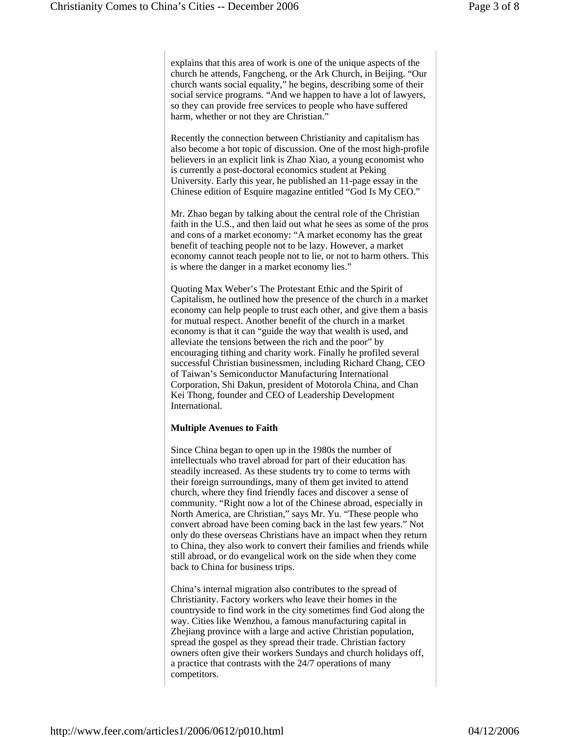explains that this area of work is one of the unique aspects of the church he attends, Fangcheng, or the Ark Church, in Beijing. "Our church wants social equality," he begins, describing some of their social service programs. "And we happen to have a lot of lawyers, so they can provide free services to people who have suffered harm, whether or not they are Christian."

Recently the connection between Christianity and capitalism has also become a hot topic of discussion. One of the most high-profile believers in an explicit link is Zhao Xiao, a young economist who is currently a post-doctoral economics student at Peking University. Early this year, he published an 11-page essay in the Chinese edition of Esquire magazine entitled "God Is My CEO."

Mr. Zhao began by talking about the central role of the Christian faith in the U.S., and then laid out what he sees as some of the pros and cons of a market economy: "A market economy has the great benefit of teaching people not to be lazy. However, a market economy cannot teach people not to lie, or not to harm others. This is where the danger in a market economy lies."

Quoting Max Weber's The Protestant Ethic and the Spirit of Capitalism, he outlined how the presence of the church in a market economy can help people to trust each other, and give them a basis for mutual respect. Another benefit of the church in a market economy is that it can "guide the way that wealth is used, and alleviate the tensions between the rich and the poor" by encouraging tithing and charity work. Finally he profiled several successful Christian businessmen, including Richard Chang, CEO of Taiwan's Semiconductor Manufacturing International Corporation, Shi Dakun, president of Motorola China, and Chan Kei Thong, founder and CEO of Leadership Development International.

## **Multiple Avenues to Faith**

Since China began to open up in the 1980s the number of intellectuals who travel abroad for part of their education has steadily increased. As these students try to come to terms with their foreign surroundings, many of them get invited to attend church, where they find friendly faces and discover a sense of community. "Right now a lot of the Chinese abroad, especially in North America, are Christian," says Mr. Yu. "These people who convert abroad have been coming back in the last few years." Not only do these overseas Christians have an impact when they return to China, they also work to convert their families and friends while still abroad, or do evangelical work on the side when they come back to China for business trips.

China's internal migration also contributes to the spread of Christianity. Factory workers who leave their homes in the countryside to find work in the city sometimes find God along the way. Cities like Wenzhou, a famous manufacturing capital in Zhejiang province with a large and active Christian population, spread the gospel as they spread their trade. Christian factory owners often give their workers Sundays and church holidays off, a practice that contrasts with the 24/7 operations of many competitors.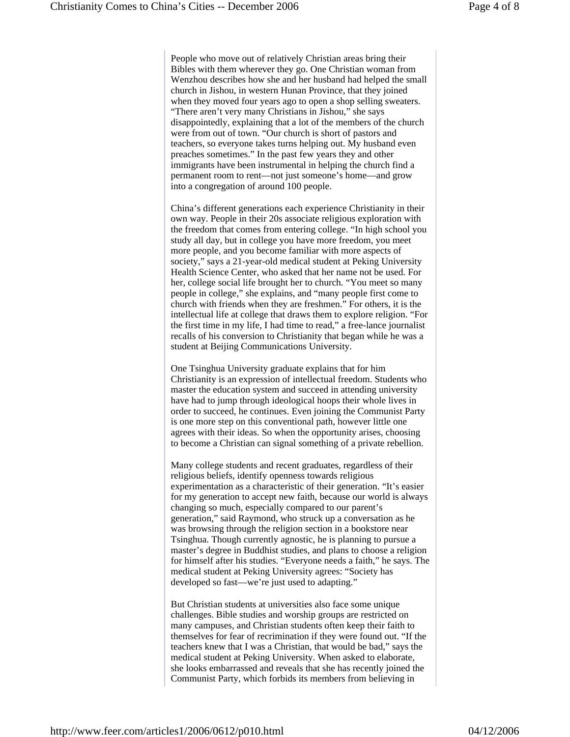People who move out of relatively Christian areas bring their Bibles with them wherever they go. One Christian woman from Wenzhou describes how she and her husband had helped the small church in Jishou, in western Hunan Province, that they joined when they moved four years ago to open a shop selling sweaters. "There aren't very many Christians in Jishou," she says disappointedly, explaining that a lot of the members of the church were from out of town. "Our church is short of pastors and teachers, so everyone takes turns helping out. My husband even preaches sometimes." In the past few years they and other immigrants have been instrumental in helping the church find a permanent room to rent—not just someone's home—and grow into a congregation of around 100 people.

China's different generations each experience Christianity in their own way. People in their 20s associate religious exploration with the freedom that comes from entering college. "In high school you study all day, but in college you have more freedom, you meet more people, and you become familiar with more aspects of society," says a 21-year-old medical student at Peking University Health Science Center, who asked that her name not be used. For her, college social life brought her to church. "You meet so many people in college," she explains, and "many people first come to church with friends when they are freshmen." For others, it is the intellectual life at college that draws them to explore religion. "For the first time in my life, I had time to read," a free-lance journalist recalls of his conversion to Christianity that began while he was a student at Beijing Communications University.

One Tsinghua University graduate explains that for him Christianity is an expression of intellectual freedom. Students who master the education system and succeed in attending university have had to jump through ideological hoops their whole lives in order to succeed, he continues. Even joining the Communist Party is one more step on this conventional path, however little one agrees with their ideas. So when the opportunity arises, choosing to become a Christian can signal something of a private rebellion.

Many college students and recent graduates, regardless of their religious beliefs, identify openness towards religious experimentation as a characteristic of their generation. "It's easier for my generation to accept new faith, because our world is always changing so much, especially compared to our parent's generation," said Raymond, who struck up a conversation as he was browsing through the religion section in a bookstore near Tsinghua. Though currently agnostic, he is planning to pursue a master's degree in Buddhist studies, and plans to choose a religion for himself after his studies. "Everyone needs a faith," he says. The medical student at Peking University agrees: "Society has developed so fast—we're just used to adapting."

But Christian students at universities also face some unique challenges. Bible studies and worship groups are restricted on many campuses, and Christian students often keep their faith to themselves for fear of recrimination if they were found out. "If the teachers knew that I was a Christian, that would be bad," says the medical student at Peking University. When asked to elaborate, she looks embarrassed and reveals that she has recently joined the Communist Party, which forbids its members from believing in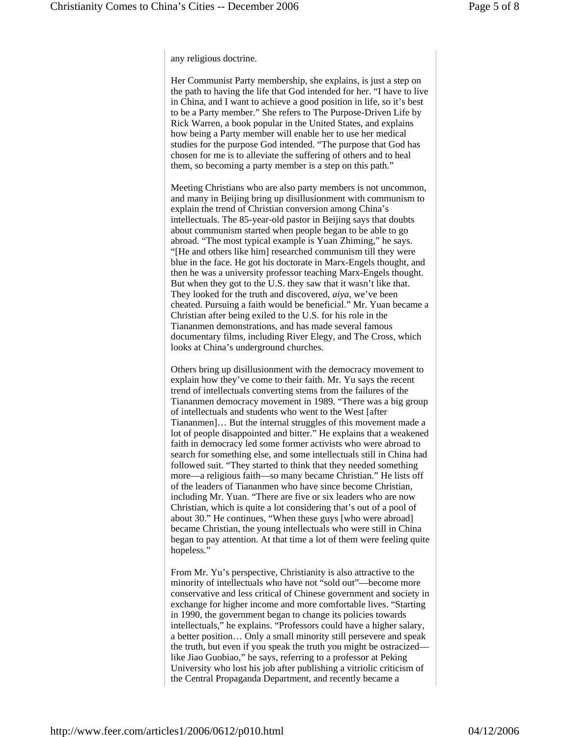any religious doctrine.

Her Communist Party membership, she explains, is just a step on the path to having the life that God intended for her. "I have to live in China, and I want to achieve a good position in life, so it's best to be a Party member." She refers to The Purpose-Driven Life by Rick Warren, a book popular in the United States, and explains how being a Party member will enable her to use her medical studies for the purpose God intended. "The purpose that God has chosen for me is to alleviate the suffering of others and to heal them, so becoming a party member is a step on this path."

Meeting Christians who are also party members is not uncommon, and many in Beijing bring up disillusionment with communism to explain the trend of Christian conversion among China's intellectuals. The 85-year-old pastor in Beijing says that doubts about communism started when people began to be able to go abroad. "The most typical example is Yuan Zhiming," he says. "[He and others like him] researched communism till they were blue in the face. He got his doctorate in Marx-Engels thought, and then he was a university professor teaching Marx-Engels thought. But when they got to the U.S. they saw that it wasn't like that. They looked for the truth and discovered, *aiya*, we've been cheated. Pursuing a faith would be beneficial." Mr. Yuan became a Christian after being exiled to the U.S. for his role in the Tiananmen demonstrations, and has made several famous documentary films, including River Elegy, and The Cross, which looks at China's underground churches.

Others bring up disillusionment with the democracy movement to explain how they've come to their faith. Mr. Yu says the recent trend of intellectuals converting stems from the failures of the Tiananmen democracy movement in 1989. "There was a big group of intellectuals and students who went to the West [after Tiananmen]… But the internal struggles of this movement made a lot of people disappointed and bitter." He explains that a weakened faith in democracy led some former activists who were abroad to search for something else, and some intellectuals still in China had followed suit. "They started to think that they needed something more—a religious faith—so many became Christian." He lists off of the leaders of Tiananmen who have since become Christian, including Mr. Yuan. "There are five or six leaders who are now Christian, which is quite a lot considering that's out of a pool of about 30." He continues, "When these guys [who were abroad] became Christian, the young intellectuals who were still in China began to pay attention. At that time a lot of them were feeling quite hopeless."

From Mr. Yu's perspective, Christianity is also attractive to the minority of intellectuals who have not "sold out"—become more conservative and less critical of Chinese government and society in exchange for higher income and more comfortable lives. "Starting in 1990, the government began to change its policies towards intellectuals," he explains. "Professors could have a higher salary, a better position… Only a small minority still persevere and speak the truth, but even if you speak the truth you might be ostracized like Jiao Guobiao," he says, referring to a professor at Peking University who lost his job after publishing a vitriolic criticism of the Central Propaganda Department, and recently became a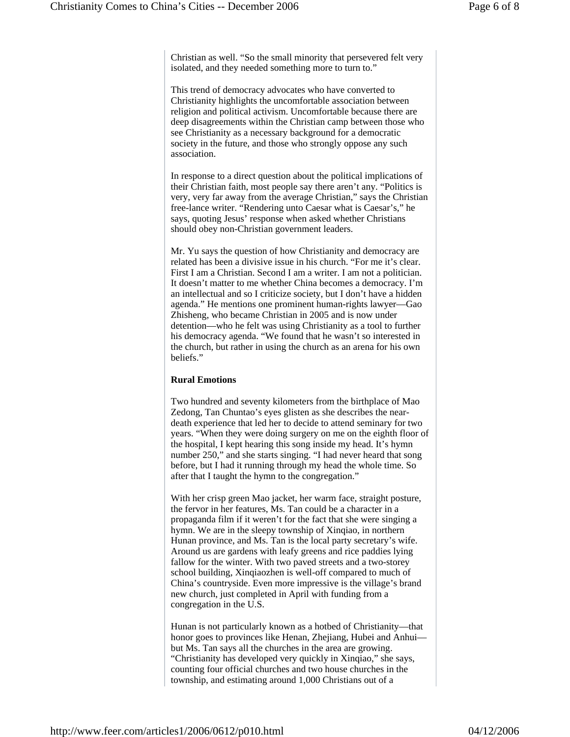Christian as well. "So the small minority that persevered felt very isolated, and they needed something more to turn to."

This trend of democracy advocates who have converted to Christianity highlights the uncomfortable association between religion and political activism. Uncomfortable because there are deep disagreements within the Christian camp between those who see Christianity as a necessary background for a democratic society in the future, and those who strongly oppose any such association.

In response to a direct question about the political implications of their Christian faith, most people say there aren't any. "Politics is very, very far away from the average Christian," says the Christian free-lance writer. "Rendering unto Caesar what is Caesar's," he says, quoting Jesus' response when asked whether Christians should obey non-Christian government leaders.

Mr. Yu says the question of how Christianity and democracy are related has been a divisive issue in his church. "For me it's clear. First I am a Christian. Second I am a writer. I am not a politician. It doesn't matter to me whether China becomes a democracy. I'm an intellectual and so I criticize society, but I don't have a hidden agenda." He mentions one prominent human-rights lawyer—Gao Zhisheng, who became Christian in 2005 and is now under detention—who he felt was using Christianity as a tool to further his democracy agenda. "We found that he wasn't so interested in the church, but rather in using the church as an arena for his own beliefs."

### **Rural Emotions**

Two hundred and seventy kilometers from the birthplace of Mao Zedong, Tan Chuntao's eyes glisten as she describes the neardeath experience that led her to decide to attend seminary for two years. "When they were doing surgery on me on the eighth floor of the hospital, I kept hearing this song inside my head. It's hymn number 250," and she starts singing. "I had never heard that song before, but I had it running through my head the whole time. So after that I taught the hymn to the congregation."

With her crisp green Mao jacket, her warm face, straight posture, the fervor in her features, Ms. Tan could be a character in a propaganda film if it weren't for the fact that she were singing a hymn. We are in the sleepy township of Xinqiao, in northern Hunan province, and Ms. Tan is the local party secretary's wife. Around us are gardens with leafy greens and rice paddies lying fallow for the winter. With two paved streets and a two-storey school building, Xinqiaozhen is well-off compared to much of China's countryside. Even more impressive is the village's brand new church, just completed in April with funding from a congregation in the U.S.

Hunan is not particularly known as a hotbed of Christianity—that honor goes to provinces like Henan, Zhejiang, Hubei and Anhuibut Ms. Tan says all the churches in the area are growing. "Christianity has developed very quickly in Xinqiao," she says, counting four official churches and two house churches in the township, and estimating around 1,000 Christians out of a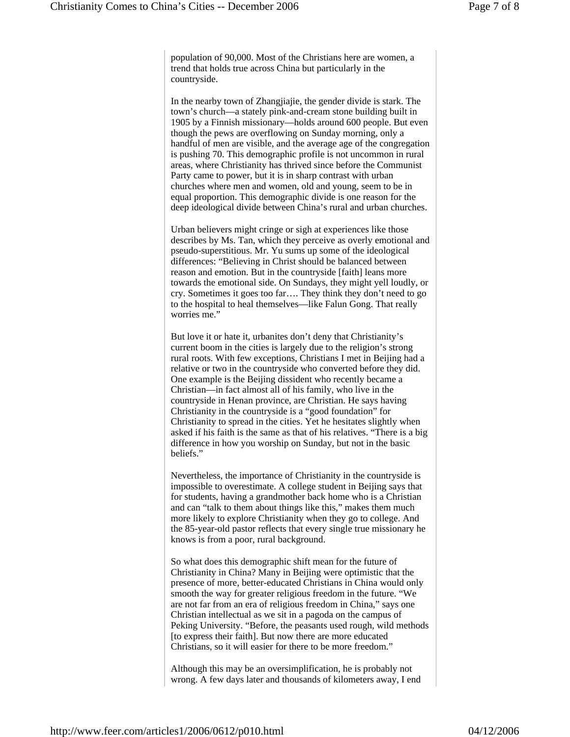population of 90,000. Most of the Christians here are women, a trend that holds true across China but particularly in the countryside.

In the nearby town of Zhangjiajie, the gender divide is stark. The town's church—a stately pink-and-cream stone building built in 1905 by a Finnish missionary—holds around 600 people. But even though the pews are overflowing on Sunday morning, only a handful of men are visible, and the average age of the congregation is pushing 70. This demographic profile is not uncommon in rural areas, where Christianity has thrived since before the Communist Party came to power, but it is in sharp contrast with urban churches where men and women, old and young, seem to be in equal proportion. This demographic divide is one reason for the deep ideological divide between China's rural and urban churches.

Urban believers might cringe or sigh at experiences like those describes by Ms. Tan, which they perceive as overly emotional and pseudo-superstitious. Mr. Yu sums up some of the ideological differences: "Believing in Christ should be balanced between reason and emotion. But in the countryside [faith] leans more towards the emotional side. On Sundays, they might yell loudly, or cry. Sometimes it goes too far…. They think they don't need to go to the hospital to heal themselves—like Falun Gong. That really worries me."

But love it or hate it, urbanites don't deny that Christianity's current boom in the cities is largely due to the religion's strong rural roots. With few exceptions, Christians I met in Beijing had a relative or two in the countryside who converted before they did. One example is the Beijing dissident who recently became a Christian—in fact almost all of his family, who live in the countryside in Henan province, are Christian. He says having Christianity in the countryside is a "good foundation" for Christianity to spread in the cities. Yet he hesitates slightly when asked if his faith is the same as that of his relatives. "There is a big difference in how you worship on Sunday, but not in the basic beliefs."

Nevertheless, the importance of Christianity in the countryside is impossible to overestimate. A college student in Beijing says that for students, having a grandmother back home who is a Christian and can "talk to them about things like this," makes them much more likely to explore Christianity when they go to college. And the 85-year-old pastor reflects that every single true missionary he knows is from a poor, rural background.

So what does this demographic shift mean for the future of Christianity in China? Many in Beijing were optimistic that the presence of more, better-educated Christians in China would only smooth the way for greater religious freedom in the future. "We are not far from an era of religious freedom in China," says one Christian intellectual as we sit in a pagoda on the campus of Peking University. "Before, the peasants used rough, wild methods [to express their faith]. But now there are more educated Christians, so it will easier for there to be more freedom."

Although this may be an oversimplification, he is probably not wrong. A few days later and thousands of kilometers away, I end